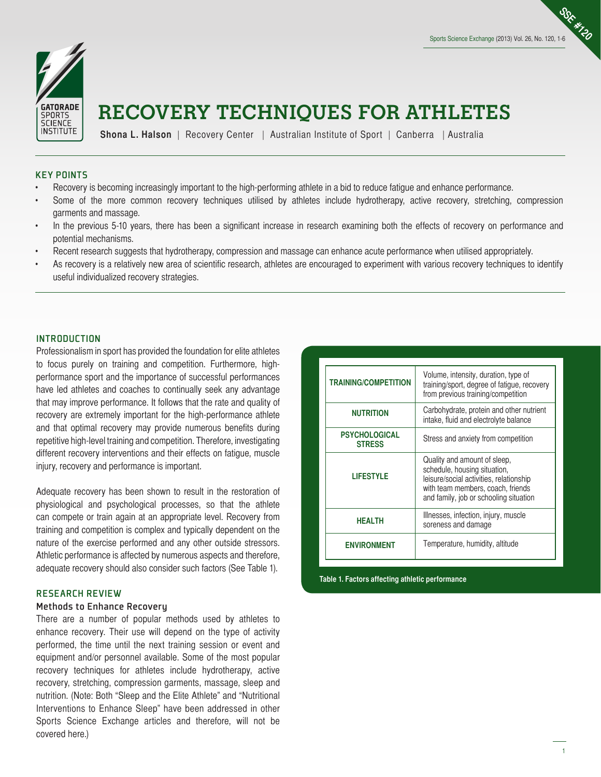**SSE #120**



# **RECOVERY TECHNIQUES FOR ATHLETES**

**Shona L. Halson** | Recovery Center | Australian Institute of Sport | Canberra | Australia

## KEY POINTS

- Recovery is becoming increasingly important to the high-performing athlete in a bid to reduce fatigue and enhance performance.
- Some of the more common recovery techniques utilised by athletes include hydrotherapy, active recovery, stretching, compression garments and massage.
- In the previous 5-10 years, there has been a significant increase in research examining both the effects of recovery on performance and potential mechanisms.
- Recent research suggests that hydrotherapy, compression and massage can enhance acute performance when utilised appropriately.
- As recovery is a relatively new area of scientific research, athletes are encouraged to experiment with various recovery techniques to identify useful individualized recovery strategies.

#### **INTRODUCTION**

Professionalism in sport has provided the foundation for elite athletes to focus purely on training and competition. Furthermore, highperformance sport and the importance of successful performances have led athletes and coaches to continually seek any advantage that may improve performance. It follows that the rate and quality of recovery are extremely important for the high-performance athlete and that optimal recovery may provide numerous benefits during repetitive high-level training and competition. Therefore, investigating different recovery interventions and their effects on fatigue, muscle injury, recovery and performance is important.

Adequate recovery has been shown to result in the restoration of physiological and psychological processes, so that the athlete can compete or train again at an appropriate level. Recovery from training and competition is complex and typically dependent on the nature of the exercise performed and any other outside stressors. Athletic performance is affected by numerous aspects and therefore, adequate recovery should also consider such factors (See Table 1).

## RESEARCH REVIEW

#### Methods to Enhance Recovery

There are a number of popular methods used by athletes to enhance recovery. Their use will depend on the type of activity performed, the time until the next training session or event and equipment and/or personnel available. Some of the most popular recovery techniques for athletes include hydrotherapy, active recovery, stretching, compression garments, massage, sleep and nutrition. (Note: Both "Sleep and the Elite Athlete" and "Nutritional Interventions to Enhance Sleep" have been addressed in other Sports Science Exchange articles and therefore, will not be covered here.)

| <b>TRAINING/COMPETITION</b>           | Volume, intensity, duration, type of<br>training/sport, degree of fatigue, recovery<br>from previous training/competition                                                              |
|---------------------------------------|----------------------------------------------------------------------------------------------------------------------------------------------------------------------------------------|
| <b>NUTRITION</b>                      | Carbohydrate, protein and other nutrient<br>intake, fluid and electrolyte balance                                                                                                      |
| <b>PSYCHOLOGICAL</b><br><b>STRESS</b> | Stress and anxiety from competition                                                                                                                                                    |
| <b>LIFESTYLE</b>                      | Quality and amount of sleep,<br>schedule, housing situation,<br>leisure/social activities, relationship<br>with team members, coach, friends<br>and family, job or schooling situation |
| <b>HEALTH</b>                         | Illnesses, infection, injury, muscle<br>soreness and damage                                                                                                                            |
| <b>ENVIRONMENT</b>                    | Temperature, humidity, altitude                                                                                                                                                        |

**Table 1. Factors affecting athletic performance**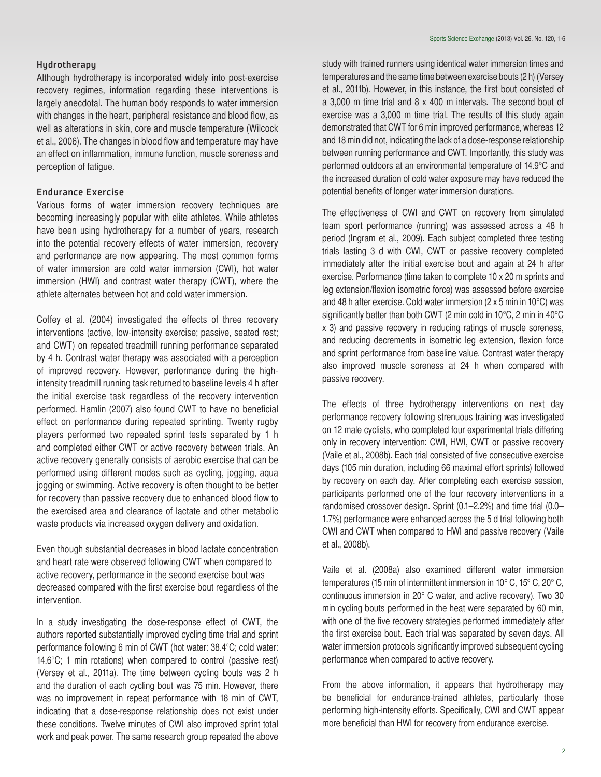# Hydrotherapy

Although hydrotherapy is incorporated widely into post-exercise recovery regimes, information regarding these interventions is largely anecdotal. The human body responds to water immersion with changes in the heart, peripheral resistance and blood flow, as well as alterations in skin, core and muscle temperature (Wilcock et al., 2006). The changes in blood flow and temperature may have an effect on inflammation, immune function, muscle soreness and perception of fatigue.

## Endurance Exercise

Various forms of water immersion recovery techniques are becoming increasingly popular with elite athletes. While athletes have been using hydrotherapy for a number of years, research into the potential recovery effects of water immersion, recovery and performance are now appearing. The most common forms of water immersion are cold water immersion (CWI), hot water immersion (HWI) and contrast water therapy (CWT), where the athlete alternates between hot and cold water immersion.

Coffey et al. (2004) investigated the effects of three recovery interventions (active, low-intensity exercise; passive, seated rest; and CWT) on repeated treadmill running performance separated by 4 h. Contrast water therapy was associated with a perception of improved recovery. However, performance during the highintensity treadmill running task returned to baseline levels 4 h after the initial exercise task regardless of the recovery intervention performed. Hamlin (2007) also found CWT to have no beneficial effect on performance during repeated sprinting. Twenty rugby players performed two repeated sprint tests separated by 1 h and completed either CWT or active recovery between trials. An active recovery generally consists of aerobic exercise that can be performed using different modes such as cycling, jogging, aqua jogging or swimming. Active recovery is often thought to be better for recovery than passive recovery due to enhanced blood flow to the exercised area and clearance of lactate and other metabolic waste products via increased oxygen delivery and oxidation.

Even though substantial decreases in blood lactate concentration and heart rate were observed following CWT when compared to active recovery, performance in the second exercise bout was decreased compared with the first exercise bout regardless of the intervention.

In a study investigating the dose-response effect of CWT, the authors reported substantially improved cycling time trial and sprint performance following 6 min of CWT (hot water: 38.4°C; cold water: 14.6°C; 1 min rotations) when compared to control (passive rest) (Versey et al., 2011a). The time between cycling bouts was 2 h and the duration of each cycling bout was 75 min. However, there was no improvement in repeat performance with 18 min of CWT, indicating that a dose-response relationship does not exist under these conditions. Twelve minutes of CWI also improved sprint total work and peak power. The same research group repeated the above study with trained runners using identical water immersion times and temperatures and the same time between exercise bouts (2 h) (Versey et al., 2011b). However, in this instance, the first bout consisted of a 3,000 m time trial and 8 x 400 m intervals. The second bout of exercise was a 3,000 m time trial. The results of this study again demonstrated that CWT for 6 min improved performance, whereas 12 and 18 min did not, indicating the lack of a dose-response relationship between running performance and CWT. Importantly, this study was performed outdoors at an environmental temperature of 14.9°C and the increased duration of cold water exposure may have reduced the potential benefits of longer water immersion durations.

The effectiveness of CWI and CWT on recovery from simulated team sport performance (running) was assessed across a 48 h period (Ingram et al., 2009). Each subject completed three testing trials lasting 3 d with CWI, CWT or passive recovery completed immediately after the initial exercise bout and again at 24 h after exercise. Performance (time taken to complete 10 x 20 m sprints and leg extension/flexion isometric force) was assessed before exercise and 48 h after exercise. Cold water immersion (2 x 5 min in 10°C) was significantly better than both CWT (2 min cold in 10°C, 2 min in 40°C x 3) and passive recovery in reducing ratings of muscle soreness, and reducing decrements in isometric leg extension, flexion force and sprint performance from baseline value. Contrast water therapy also improved muscle soreness at 24 h when compared with passive recovery.

The effects of three hydrotherapy interventions on next day performance recovery following strenuous training was investigated on 12 male cyclists, who completed four experimental trials differing only in recovery intervention: CWI, HWI, CWT or passive recovery (Vaile et al., 2008b). Each trial consisted of five consecutive exercise days (105 min duration, including 66 maximal effort sprints) followed by recovery on each day. After completing each exercise session, participants performed one of the four recovery interventions in a randomised crossover design. Sprint (0.1–2.2%) and time trial (0.0– 1.7%) performance were enhanced across the 5 d trial following both CWI and CWT when compared to HWI and passive recovery (Vaile et al., 2008b).

Vaile et al. (2008a) also examined different water immersion temperatures (15 min of intermittent immersion in 10° C, 15° C, 20° C, continuous immersion in 20° C water, and active recovery). Two 30 min cycling bouts performed in the heat were separated by 60 min, with one of the five recovery strategies performed immediately after the first exercise bout. Each trial was separated by seven days. All water immersion protocols significantly improved subsequent cycling performance when compared to active recovery.

From the above information, it appears that hydrotherapy may be beneficial for endurance-trained athletes, particularly those performing high-intensity efforts. Specifically, CWI and CWT appear more beneficial than HWI for recovery from endurance exercise.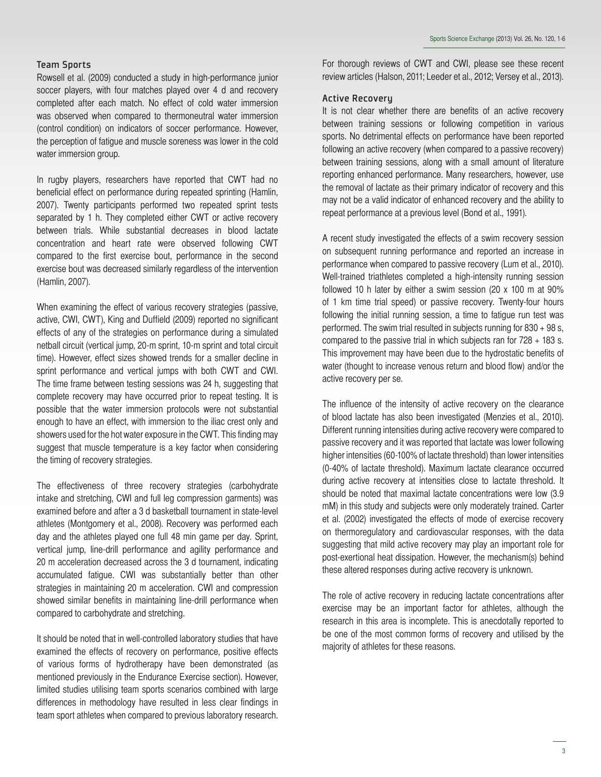## Team Sports

Rowsell et al. (2009) conducted a study in high-performance junior soccer players, with four matches played over 4 d and recovery completed after each match. No effect of cold water immersion was observed when compared to thermoneutral water immersion (control condition) on indicators of soccer performance. However, the perception of fatigue and muscle soreness was lower in the cold water immersion group.

In rugby players, researchers have reported that CWT had no beneficial effect on performance during repeated sprinting (Hamlin, 2007). Twenty participants performed two repeated sprint tests separated by 1 h. They completed either CWT or active recovery between trials. While substantial decreases in blood lactate concentration and heart rate were observed following CWT compared to the first exercise bout, performance in the second exercise bout was decreased similarly regardless of the intervention (Hamlin, 2007).

When examining the effect of various recovery strategies (passive, active, CWI, CWT), King and Duffield (2009) reported no significant effects of any of the strategies on performance during a simulated netball circuit (vertical jump, 20-m sprint, 10-m sprint and total circuit time). However, effect sizes showed trends for a smaller decline in sprint performance and vertical jumps with both CWT and CWI. The time frame between testing sessions was 24 h, suggesting that complete recovery may have occurred prior to repeat testing. It is possible that the water immersion protocols were not substantial enough to have an effect, with immersion to the iliac crest only and showers used for the hot water exposure in the CWT. This finding may suggest that muscle temperature is a key factor when considering the timing of recovery strategies.

The effectiveness of three recovery strategies (carbohydrate intake and stretching, CWI and full leg compression garments) was examined before and after a 3 d basketball tournament in state-level athletes (Montgomery et al., 2008). Recovery was performed each day and the athletes played one full 48 min game per day. Sprint, vertical jump, line-drill performance and agility performance and 20 m acceleration decreased across the 3 d tournament, indicating accumulated fatigue. CWI was substantially better than other strategies in maintaining 20 m acceleration. CWI and compression showed similar benefits in maintaining line-drill performance when compared to carbohydrate and stretching.

It should be noted that in well-controlled laboratory studies that have examined the effects of recovery on performance, positive effects of various forms of hydrotherapy have been demonstrated (as mentioned previously in the Endurance Exercise section). However, limited studies utilising team sports scenarios combined with large differences in methodology have resulted in less clear findings in team sport athletes when compared to previous laboratory research. For thorough reviews of CWT and CWI, please see these recent review articles (Halson, 2011; Leeder et al., 2012; Versey et al., 2013).

#### Active Recovery

It is not clear whether there are benefits of an active recovery between training sessions or following competition in various sports. No detrimental effects on performance have been reported following an active recovery (when compared to a passive recovery) between training sessions, along with a small amount of literature reporting enhanced performance. Many researchers, however, use the removal of lactate as their primary indicator of recovery and this may not be a valid indicator of enhanced recovery and the ability to repeat performance at a previous level (Bond et al., 1991).

A recent study investigated the effects of a swim recovery session on subsequent running performance and reported an increase in performance when compared to passive recovery (Lum et al., 2010). Well-trained triathletes completed a high-intensity running session followed 10 h later by either a swim session (20 x 100 m at 90% of 1 km time trial speed) or passive recovery. Twenty-four hours following the initial running session, a time to fatigue run test was performed. The swim trial resulted in subjects running for 830 + 98 s, compared to the passive trial in which subjects ran for  $728 + 183$  s. This improvement may have been due to the hydrostatic benefits of water (thought to increase venous return and blood flow) and/or the active recovery per se.

The influence of the intensity of active recovery on the clearance of blood lactate has also been investigated (Menzies et al., 2010). Different running intensities during active recovery were compared to passive recovery and it was reported that lactate was lower following higher intensities (60-100% of lactate threshold) than lower intensities (0-40% of lactate threshold). Maximum lactate clearance occurred during active recovery at intensities close to lactate threshold. It should be noted that maximal lactate concentrations were low (3.9 mM) in this study and subjects were only moderately trained. Carter et al. (2002) investigated the effects of mode of exercise recovery on thermoregulatory and cardiovascular responses, with the data suggesting that mild active recovery may play an important role for post-exertional heat dissipation. However, the mechanism(s) behind these altered responses during active recovery is unknown.

The role of active recovery in reducing lactate concentrations after exercise may be an important factor for athletes, although the research in this area is incomplete. This is anecdotally reported to be one of the most common forms of recovery and utilised by the majority of athletes for these reasons.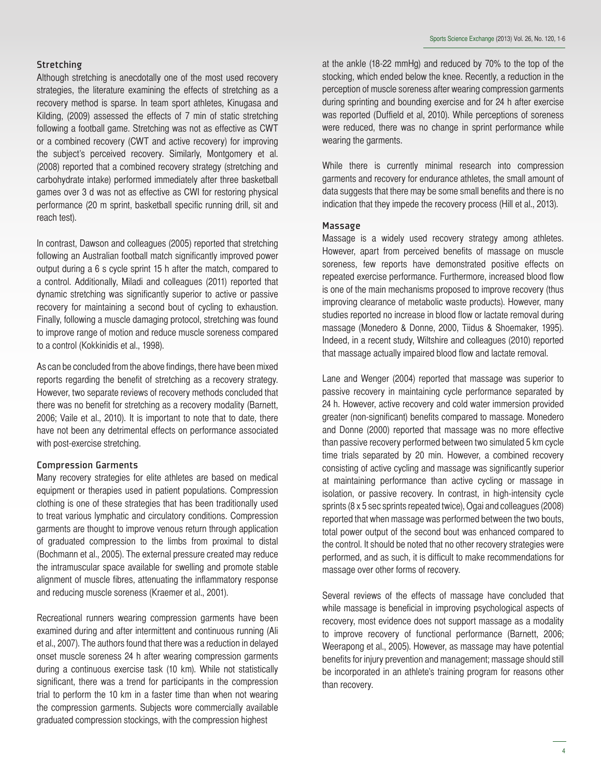Although stretching is anecdotally one of the most used recovery strategies, the literature examining the effects of stretching as a recovery method is sparse. In team sport athletes, Kinugasa and Kilding, (2009) assessed the effects of 7 min of static stretching following a football game. Stretching was not as effective as CWT or a combined recovery (CWT and active recovery) for improving the subject's perceived recovery. Similarly, Montgomery et al. (2008) reported that a combined recovery strategy (stretching and carbohydrate intake) performed immediately after three basketball games over 3 d was not as effective as CWI for restoring physical performance (20 m sprint, basketball specific running drill, sit and reach test).

In contrast, Dawson and colleagues (2005) reported that stretching following an Australian football match significantly improved power output during a 6 s cycle sprint 15 h after the match, compared to a control. Additionally, Miladi and colleagues (2011) reported that dynamic stretching was significantly superior to active or passive recovery for maintaining a second bout of cycling to exhaustion. Finally, following a muscle damaging protocol, stretching was found to improve range of motion and reduce muscle soreness compared to a control (Kokkinidis et al., 1998).

As can be concluded from the above findings, there have been mixed reports regarding the benefit of stretching as a recovery strategy. However, two separate reviews of recovery methods concluded that there was no benefit for stretching as a recovery modality (Barnett, 2006; Vaile et al., 2010). It is important to note that to date, there have not been any detrimental effects on performance associated with post-exercise stretching.

# Compression Garments

Many recovery strategies for elite athletes are based on medical equipment or therapies used in patient populations. Compression clothing is one of these strategies that has been traditionally used to treat various lymphatic and circulatory conditions. Compression garments are thought to improve venous return through application of graduated compression to the limbs from proximal to distal (Bochmann et al., 2005). The external pressure created may reduce the intramuscular space available for swelling and promote stable alignment of muscle fibres, attenuating the inflammatory response and reducing muscle soreness (Kraemer et al., 2001).

Recreational runners wearing compression garments have been examined during and after intermittent and continuous running (Ali et al., 2007). The authors found that there was a reduction in delayed onset muscle soreness 24 h after wearing compression garments during a continuous exercise task (10 km). While not statistically significant, there was a trend for participants in the compression trial to perform the 10 km in a faster time than when not wearing the compression garments. Subjects wore commercially available graduated compression stockings, with the compression highest

at the ankle (18-22 mmHg) and reduced by 70% to the top of the stocking, which ended below the knee. Recently, a reduction in the perception of muscle soreness after wearing compression garments during sprinting and bounding exercise and for 24 h after exercise was reported (Duffield et al, 2010). While perceptions of soreness were reduced, there was no change in sprint performance while wearing the garments.

While there is currently minimal research into compression garments and recovery for endurance athletes, the small amount of data suggests that there may be some small benefits and there is no indication that they impede the recovery process (Hill et al., 2013).

# Massage

Massage is a widely used recovery strategy among athletes. However, apart from perceived benefits of massage on muscle soreness, few reports have demonstrated positive effects on repeated exercise performance. Furthermore, increased blood flow is one of the main mechanisms proposed to improve recovery (thus improving clearance of metabolic waste products). However, many studies reported no increase in blood flow or lactate removal during massage (Monedero & Donne, 2000, Tiidus & Shoemaker, 1995). Indeed, in a recent study, Wiltshire and colleagues (2010) reported that massage actually impaired blood flow and lactate removal.

Lane and Wenger (2004) reported that massage was superior to passive recovery in maintaining cycle performance separated by 24 h. However, active recovery and cold water immersion provided greater (non-significant) benefits compared to massage. Monedero and Donne (2000) reported that massage was no more effective than passive recovery performed between two simulated 5 km cycle time trials separated by 20 min. However, a combined recovery consisting of active cycling and massage was significantly superior at maintaining performance than active cycling or massage in isolation, or passive recovery. In contrast, in high-intensity cycle sprints (8 x 5 sec sprints repeated twice), Ogai and colleagues (2008) reported that when massage was performed between the two bouts, total power output of the second bout was enhanced compared to the control. It should be noted that no other recovery strategies were performed, and as such, it is difficult to make recommendations for massage over other forms of recovery.

Several reviews of the effects of massage have concluded that while massage is beneficial in improving psychological aspects of recovery, most evidence does not support massage as a modality to improve recovery of functional performance (Barnett, 2006; Weerapong et al., 2005). However, as massage may have potential benefits for injury prevention and management; massage should still be incorporated in an athlete's training program for reasons other than recovery.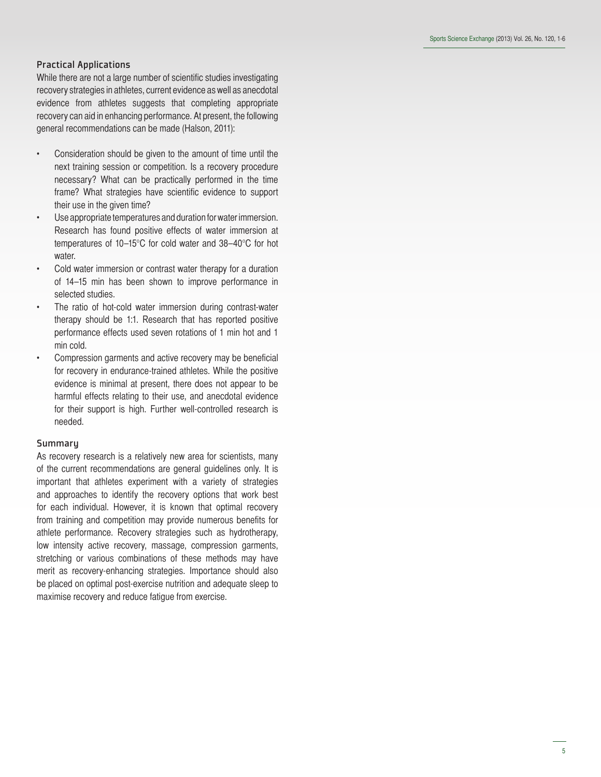## Practical Applications

While there are not a large number of scientific studies investigating recovery strategies in athletes, current evidence as well as anecdotal evidence from athletes suggests that completing appropriate recovery can aid in enhancing performance. At present, the following general recommendations can be made (Halson, 2011):

- Consideration should be given to the amount of time until the next training session or competition. Is a recovery procedure necessary? What can be practically performed in the time frame? What strategies have scientific evidence to support their use in the given time?
- Use appropriate temperatures and duration for water immersion. Research has found positive effects of water immersion at temperatures of 10–15°C for cold water and 38–40°C for hot water.
- Cold water immersion or contrast water therapy for a duration of 14–15 min has been shown to improve performance in selected studies.
- The ratio of hot-cold water immersion during contrast-water therapy should be 1:1. Research that has reported positive performance effects used seven rotations of 1 min hot and 1 min cold.
- Compression garments and active recovery may be beneficial for recovery in endurance-trained athletes. While the positive evidence is minimal at present, there does not appear to be harmful effects relating to their use, and anecdotal evidence for their support is high. Further well-controlled research is needed.

#### **Summary**

As recovery research is a relatively new area for scientists, many of the current recommendations are general guidelines only. It is important that athletes experiment with a variety of strategies and approaches to identify the recovery options that work best for each individual. However, it is known that optimal recovery from training and competition may provide numerous benefits for athlete performance. Recovery strategies such as hydrotherapy, low intensity active recovery, massage, compression garments, stretching or various combinations of these methods may have merit as recovery-enhancing strategies. Importance should also be placed on optimal post-exercise nutrition and adequate sleep to maximise recovery and reduce fatigue from exercise.